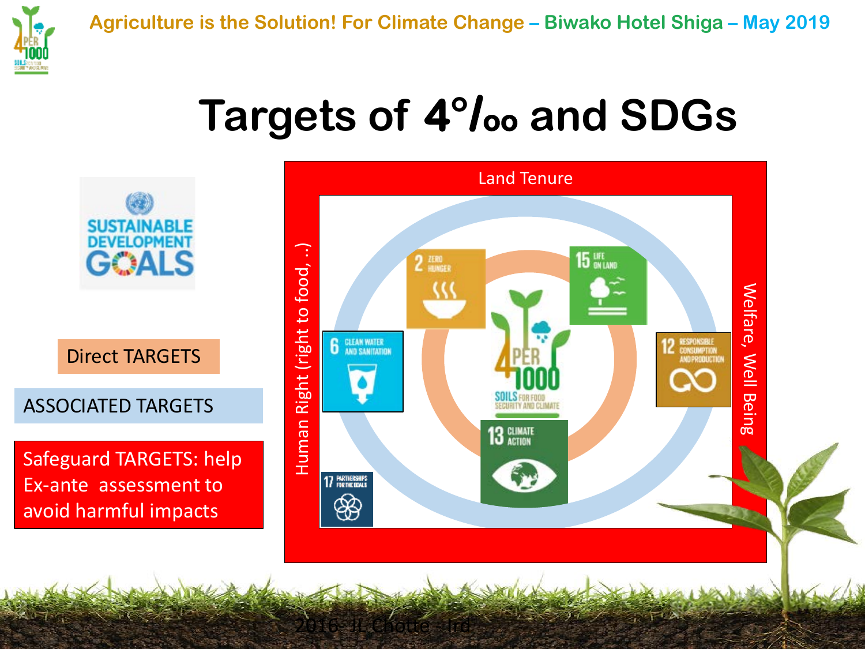

## **Targets of 4°/oo and SDGs**



2016- JL Chotte - Ird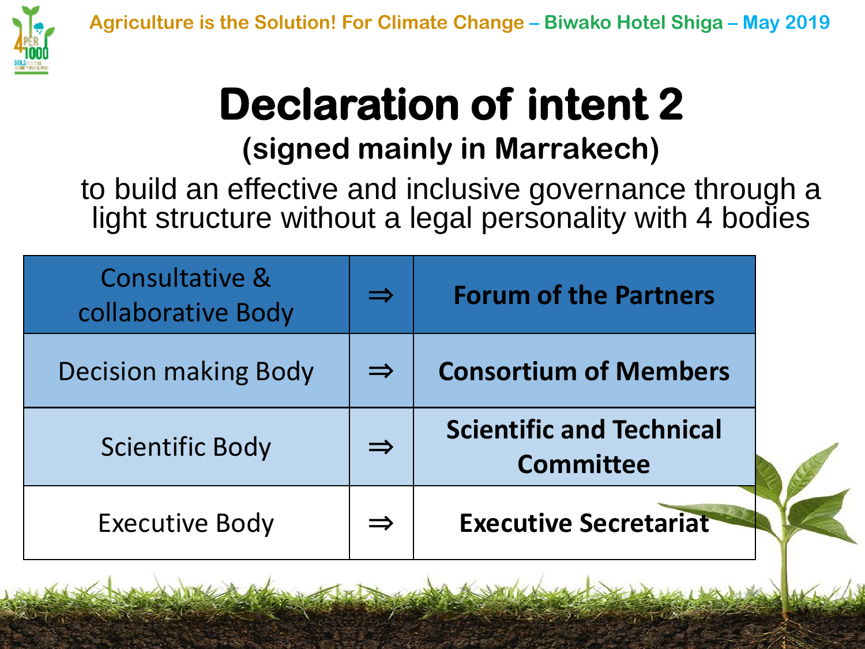

## **Declaration of intent 2 (signed mainly in Marrakech)**

to build an effective and inclusive governance through a light structure without a legal personality with 4 bodies

| <b>Consultative &amp;</b><br>collaborative Body | $\Rightarrow$ | <b>Forum of the Partners</b>                        |  |
|-------------------------------------------------|---------------|-----------------------------------------------------|--|
| <b>Decision making Body</b>                     | $\Rightarrow$ | <b>Consortium of Members</b>                        |  |
| <b>Scientific Body</b>                          | $\Rightarrow$ | <b>Scientific and Technical</b><br><b>Committee</b> |  |
| <b>Executive Body</b>                           | $\Rightarrow$ | <b>Executive Secretariat</b>                        |  |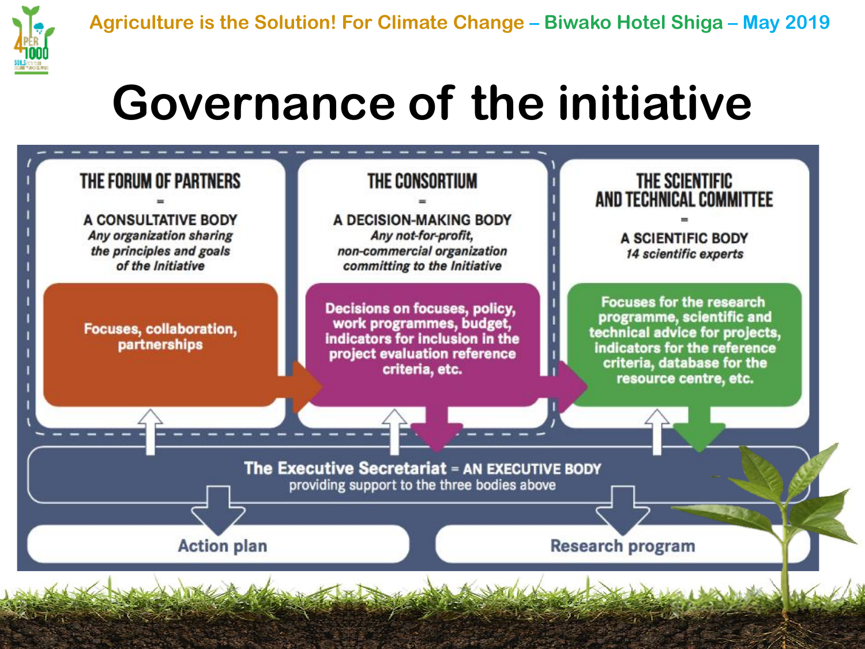

# **Governance of the initiative**

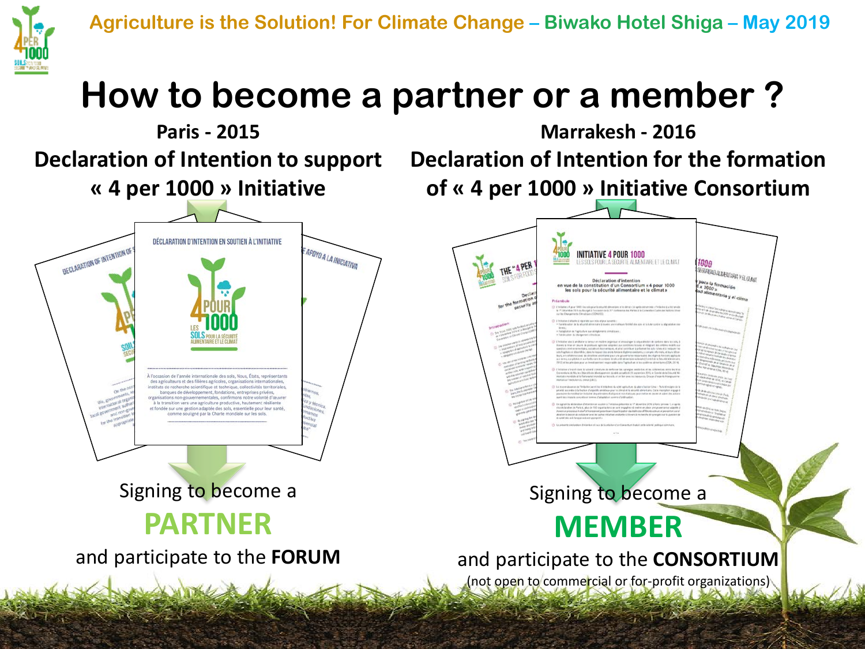



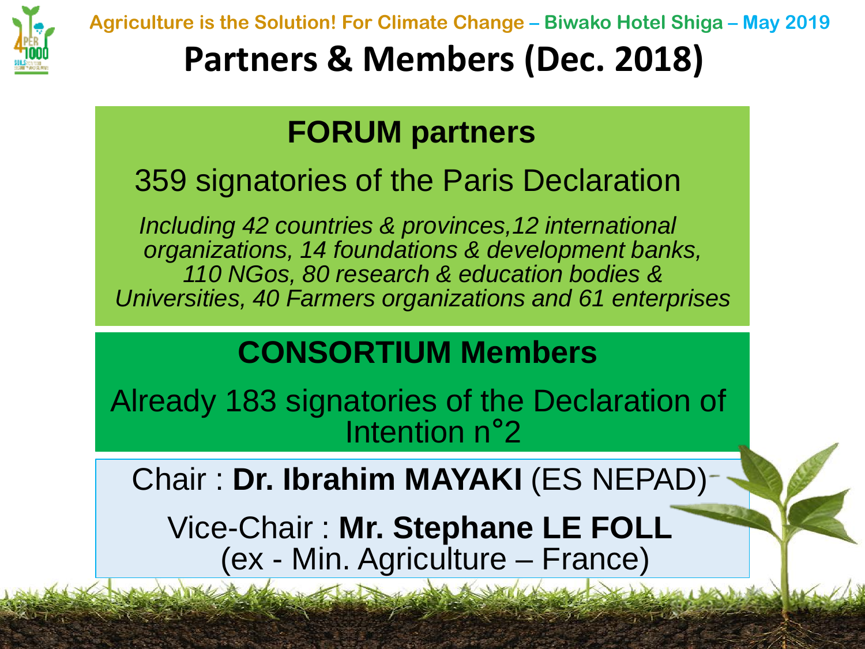

**Agriculture is the Solution! For Climate Change – Biwako Hotel Shiga – May 2019**

### **Partners & Members (Dec. 2018)**

#### **FORUM partners**

#### 359 signatories of the Paris Declaration

*Including 42 countries & provinces,12 international organizations, 14 foundations & development banks, 110 NGos, 80 research & education bodies & Universities, 40 Farmers organizations and 61 enterprises*

#### **CONSORTIUM Members**

Already 183 signatories of the Declaration of Intention n°2

Chair : **Dr. Ibrahim MAYAKI** (ES NEPAD)

Vice-Chair : **Mr. Stephane LE FOLL**  (ex - Min. Agriculture – France)